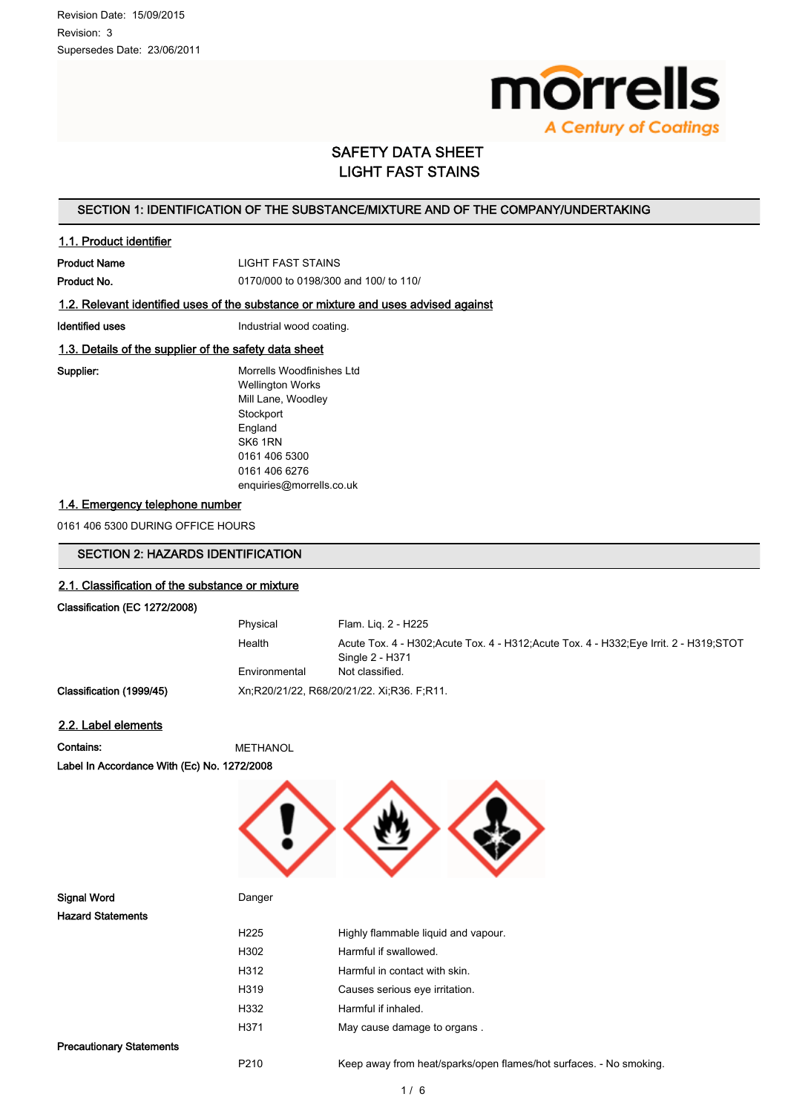

# SAFETY DATA SHEET LIGHT FAST STAINS

# SECTION 1: IDENTIFICATION OF THE SUBSTANCE/MIXTURE AND OF THE COMPANY/UNDERTAKING

### 1.1. Product identifier

Product Name LIGHT FAST STAINS

Product No. 0170/000 to 0198/300 and 100/ to 110/

# 1.2. Relevant identified uses of the substance or mixture and uses advised against

Identified uses **Industrial wood coating.** 

## 1.3. Details of the supplier of the safety data sheet

Supplier: Morrells Woodfinishes Ltd Wellington Works Mill Lane, Woodley **Stockport** England SK6 1RN 0161 406 5300 0161 406 6276 enquiries@morrells.co.uk

### 1.4. Emergency telephone number

0161 406 5300 DURING OFFICE HOURS

# SECTION 2: HAZARDS IDENTIFICATION

# 2.1. Classification of the substance or mixture

# Classification (EC 1272/2008)

|                          | Physical      | Flam. Lig. 2 - H225                                                                      |
|--------------------------|---------------|------------------------------------------------------------------------------------------|
|                          | Health        | Acute Tox. 4 - H302; Acute Tox. 4 - H312; Acute Tox. 4 - H332; Eye Irrit. 2 - H319; STOT |
|                          |               | Single 2 - H371                                                                          |
|                          | Environmental | Not classified.                                                                          |
| Classification (1999/45) |               | Xn, R20/21/22, R68/20/21/22. Xi, R36. F, R11.                                            |

## 2.2. Label elements

Hazard Statements

Contains: METHANOL Label In Accordance With (Ec) No. 1272/2008



| H <sub>225</sub>                | Highly flammable liquid and vapour. |  |
|---------------------------------|-------------------------------------|--|
| H302                            | Harmful if swallowed.               |  |
| H312                            | Harmful in contact with skin.       |  |
| H319                            | Causes serious eye irritation.      |  |
| H332                            | Harmful if inhaled.                 |  |
| H371                            | May cause damage to organs.         |  |
| <b>Precautionary Statements</b> |                                     |  |

P210 Keep away from heat/sparks/open flames/hot surfaces. - No smoking.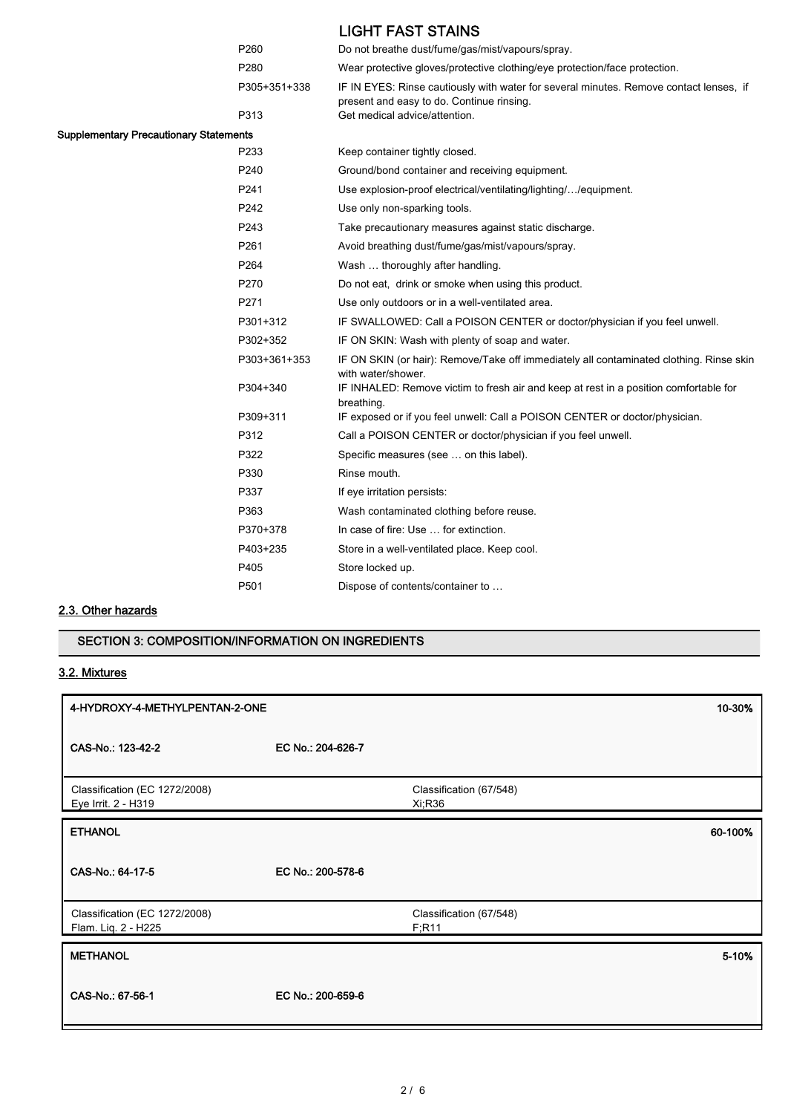|                                               |                      | <b>LIGHT FAST STAINS</b>                                                                                                                                             |
|-----------------------------------------------|----------------------|----------------------------------------------------------------------------------------------------------------------------------------------------------------------|
|                                               | P260                 | Do not breathe dust/fume/gas/mist/vapours/spray.                                                                                                                     |
|                                               | P280                 | Wear protective gloves/protective clothing/eye protection/face protection.                                                                                           |
|                                               | P305+351+338<br>P313 | IF IN EYES: Rinse cautiously with water for several minutes. Remove contact lenses, if<br>present and easy to do. Continue rinsing.<br>Get medical advice/attention. |
| <b>Supplementary Precautionary Statements</b> |                      |                                                                                                                                                                      |
|                                               | P233                 | Keep container tightly closed.                                                                                                                                       |
|                                               | P240                 | Ground/bond container and receiving equipment.                                                                                                                       |
|                                               | P <sub>241</sub>     | Use explosion-proof electrical/ventilating/lighting//equipment.                                                                                                      |
|                                               | P242                 | Use only non-sparking tools.                                                                                                                                         |
|                                               | P243                 | Take precautionary measures against static discharge.                                                                                                                |
|                                               | P <sub>261</sub>     | Avoid breathing dust/fume/gas/mist/vapours/spray.                                                                                                                    |
|                                               | P264                 | Wash  thoroughly after handling.                                                                                                                                     |
|                                               | P270                 | Do not eat, drink or smoke when using this product.                                                                                                                  |
|                                               | P271                 | Use only outdoors or in a well-ventilated area.                                                                                                                      |
|                                               | P301+312             | IF SWALLOWED: Call a POISON CENTER or doctor/physician if you feel unwell.                                                                                           |
|                                               | P302+352             | IF ON SKIN: Wash with plenty of soap and water.                                                                                                                      |
|                                               | P303+361+353         | IF ON SKIN (or hair): Remove/Take off immediately all contaminated clothing. Rinse skin<br>with water/shower.                                                        |
|                                               | P304+340             | IF INHALED: Remove victim to fresh air and keep at rest in a position comfortable for<br>breathing.                                                                  |
|                                               | P309+311             | IF exposed or if you feel unwell: Call a POISON CENTER or doctor/physician.                                                                                          |
|                                               | P312                 | Call a POISON CENTER or doctor/physician if you feel unwell.                                                                                                         |
|                                               | P322                 | Specific measures (see  on this label).                                                                                                                              |
|                                               | P330                 | Rinse mouth.                                                                                                                                                         |
|                                               | P337                 | If eye irritation persists:                                                                                                                                          |
|                                               | P363                 | Wash contaminated clothing before reuse.                                                                                                                             |
|                                               | P370+378             | In case of fire: Use  for extinction.                                                                                                                                |
|                                               | P403+235             | Store in a well-ventilated place. Keep cool.                                                                                                                         |
|                                               | P405                 | Store locked up.                                                                                                                                                     |
|                                               | P501                 | Dispose of contents/container to                                                                                                                                     |
|                                               |                      |                                                                                                                                                                      |

# 2.3. Other hazards

# SECTION 3: COMPOSITION/INFORMATION ON INGREDIENTS

# 3.2. Mixtures

| 4-HYDROXY-4-METHYLPENTAN-2-ONE                       |                   | 10-30%                            |         |
|------------------------------------------------------|-------------------|-----------------------------------|---------|
| CAS-No.: 123-42-2                                    | EC No.: 204-626-7 |                                   |         |
| Classification (EC 1272/2008)<br>Eye Irrit. 2 - H319 |                   | Classification (67/548)<br>Xi;R36 |         |
| <b>ETHANOL</b>                                       |                   |                                   | 60-100% |
| CAS-No.: 64-17-5                                     | EC No.: 200-578-6 |                                   |         |
| Classification (EC 1272/2008)<br>Flam. Liq. 2 - H225 |                   | Classification (67/548)<br>F; R11 |         |
| <b>METHANOL</b>                                      |                   |                                   | 5-10%   |
| CAS-No.: 67-56-1                                     | EC No.: 200-659-6 |                                   |         |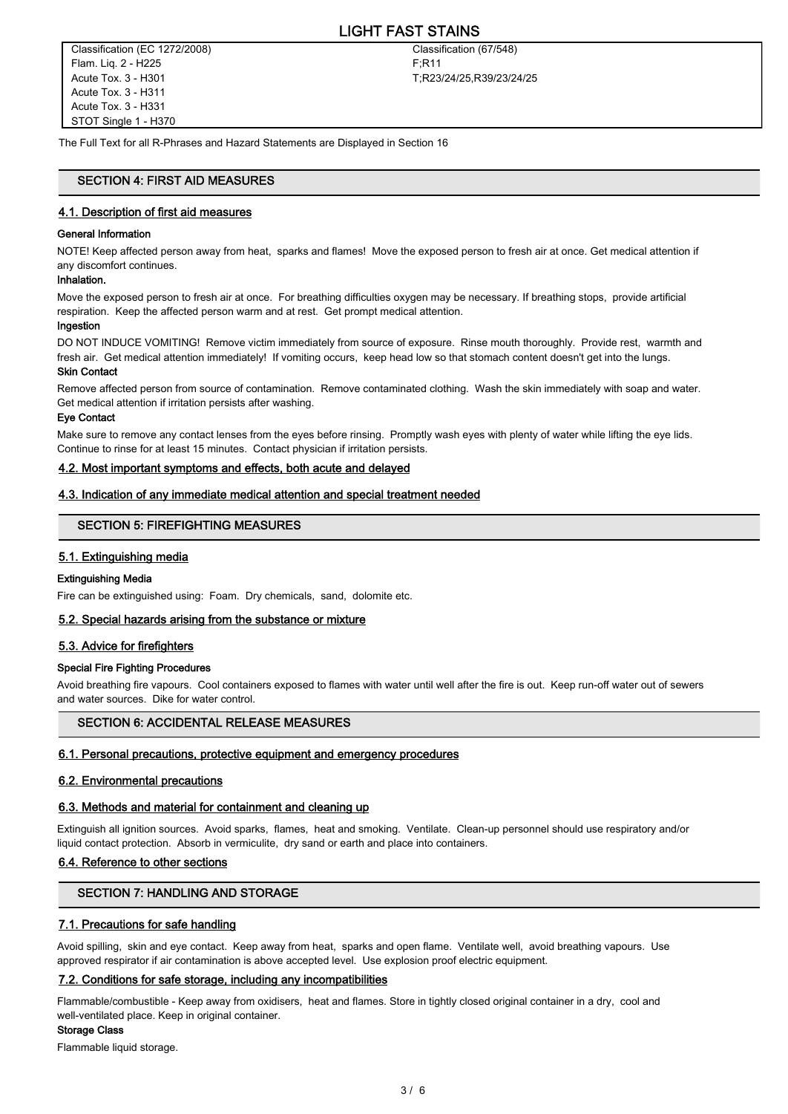# LIGHT FAST STAINS

Classification (EC 1272/2008) Flam. Liq. 2 - H225 Acute Tox. 3 - H301 Acute Tox. 3 - H311 Acute Tox. 3 - H331 STOT Single 1 - H370

Classification (67/548) F;R11 T;R23/24/25,R39/23/24/25

The Full Text for all R-Phrases and Hazard Statements are Displayed in Section 16

# SECTION 4: FIRST AID MEASURES

### 4.1. Description of first aid measures

### General Information

NOTE! Keep affected person away from heat, sparks and flames! Move the exposed person to fresh air at once. Get medical attention if any discomfort continues.

### Inhalation.

Move the exposed person to fresh air at once. For breathing difficulties oxygen may be necessary. If breathing stops, provide artificial respiration. Keep the affected person warm and at rest. Get prompt medical attention.

#### Ingestion

DO NOT INDUCE VOMITING! Remove victim immediately from source of exposure. Rinse mouth thoroughly. Provide rest, warmth and fresh air. Get medical attention immediately! If vomiting occurs, keep head low so that stomach content doesn't get into the lungs. Skin Contact

Remove affected person from source of contamination. Remove contaminated clothing. Wash the skin immediately with soap and water. Get medical attention if irritation persists after washing.

#### Eye Contact

Make sure to remove any contact lenses from the eyes before rinsing. Promptly wash eyes with plenty of water while lifting the eye lids. Continue to rinse for at least 15 minutes. Contact physician if irritation persists.

### 4.2. Most important symptoms and effects, both acute and delayed

### 4.3. Indication of any immediate medical attention and special treatment needed

### SECTION 5: FIREFIGHTING MEASURES

### 5.1. Extinguishing media

### Extinguishing Media

Fire can be extinguished using: Foam. Dry chemicals, sand, dolomite etc.

### 5.2. Special hazards arising from the substance or mixture

### 5.3. Advice for firefighters

### Special Fire Fighting Procedures

Avoid breathing fire vapours. Cool containers exposed to flames with water until well after the fire is out. Keep run-off water out of sewers and water sources. Dike for water control.

# SECTION 6: ACCIDENTAL RELEASE MEASURES

### 6.1. Personal precautions, protective equipment and emergency procedures

### 6.2. Environmental precautions

### 6.3. Methods and material for containment and cleaning up

Extinguish all ignition sources. Avoid sparks, flames, heat and smoking. Ventilate. Clean-up personnel should use respiratory and/or liquid contact protection. Absorb in vermiculite, dry sand or earth and place into containers.

### 6.4. Reference to other sections

# SECTION 7: HANDLING AND STORAGE

### 7.1. Precautions for safe handling

Avoid spilling, skin and eye contact. Keep away from heat, sparks and open flame. Ventilate well, avoid breathing vapours. Use approved respirator if air contamination is above accepted level. Use explosion proof electric equipment.

### 7.2. Conditions for safe storage, including any incompatibilities

Flammable/combustible - Keep away from oxidisers, heat and flames. Store in tightly closed original container in a dry, cool and well-ventilated place. Keep in original container.

#### Storage Class

Flammable liquid storage.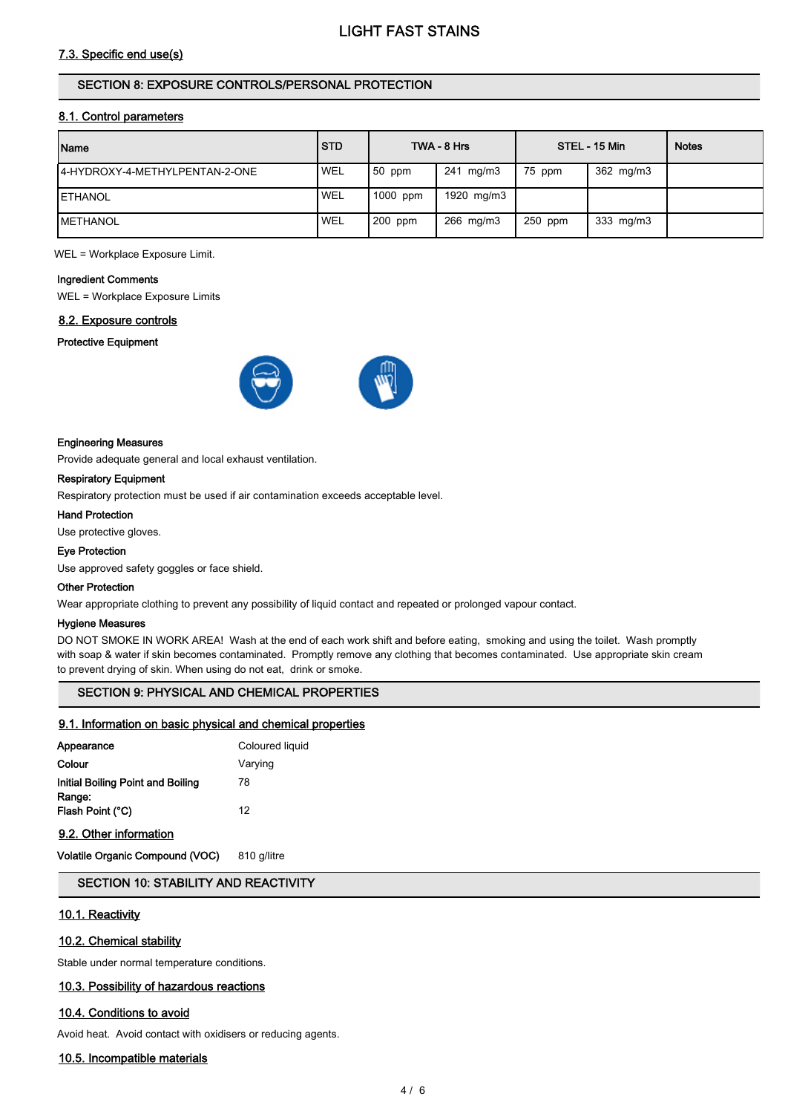# 7.3. Specific end use(s)

# SECTION 8: EXPOSURE CONTROLS/PERSONAL PROTECTION

### 8.1. Control parameters

| Name                            | <b>STD</b> |          | TWA - 8 Hrs |           | STEL - 15 Min | <b>Notes</b> |
|---------------------------------|------------|----------|-------------|-----------|---------------|--------------|
| I4-HYDROXY-4-METHYLPENTAN-2-ONE | <b>WEL</b> | $50$ ppm | 241 mg/m3   | 75 ppm    | 362 mg/m3     |              |
| <b>IETHANOL</b>                 | <b>WEL</b> | 1000 ppm | 1920 mg/m3  |           |               |              |
| <b>IMETHANOL</b>                | 'WEL       | 200 ppm  | 266 mg/m3   | $250$ ppm | 333 mg/m3     |              |

WEL = Workplace Exposure Limit.

### Ingredient Comments

WEL = Workplace Exposure Limits

# 8.2. Exposure controls

### Protective Equipment



### Engineering Measures

Provide adequate general and local exhaust ventilation.

### Respiratory Equipment

Respiratory protection must be used if air contamination exceeds acceptable level.

Hand Protection

Use protective gloves.

### Eye Protection

Use approved safety goggles or face shield.

### Other Protection

Wear appropriate clothing to prevent any possibility of liquid contact and repeated or prolonged vapour contact.

### Hygiene Measures

DO NOT SMOKE IN WORK AREA! Wash at the end of each work shift and before eating, smoking and using the toilet. Wash promptly with soap & water if skin becomes contaminated. Promptly remove any clothing that becomes contaminated. Use appropriate skin cream to prevent drying of skin. When using do not eat, drink or smoke.

# SECTION 9: PHYSICAL AND CHEMICAL PROPERTIES

### 9.1. Information on basic physical and chemical properties

| Appearance                                  | Coloured liquid |
|---------------------------------------------|-----------------|
| Colour                                      | Varying         |
| Initial Boiling Point and Boiling<br>Range: | 78              |
| Flash Point (°C)                            | 12              |
|                                             |                 |

# 9.2. Other information

Volatile Organic Compound (VOC) 810 g/litre

# SECTION 10: STABILITY AND REACTIVITY

### 10.1. Reactivity

### 10.2. Chemical stability

Stable under normal temperature conditions.

# 10.3. Possibility of hazardous reactions

### 10.4. Conditions to avoid

Avoid heat. Avoid contact with oxidisers or reducing agents.

### 10.5. Incompatible materials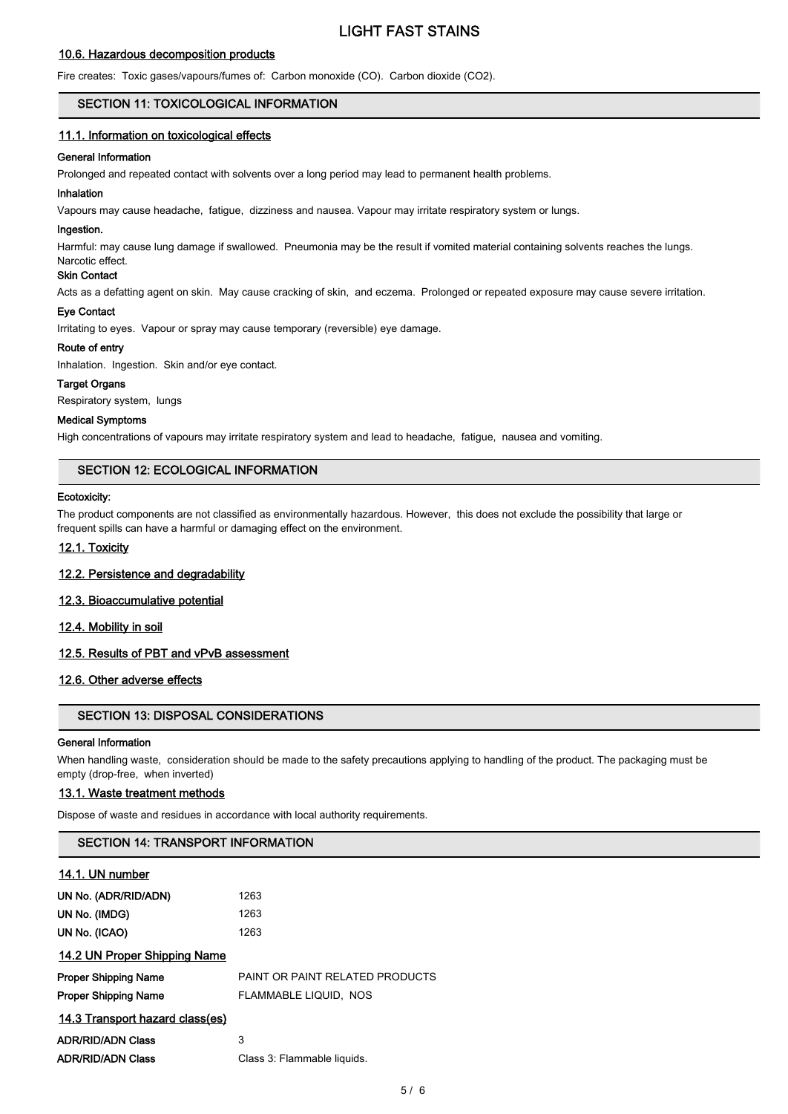# LIGHT FAST STAINS

# 10.6. Hazardous decomposition products

Fire creates: Toxic gases/vapours/fumes of: Carbon monoxide (CO). Carbon dioxide (CO2).

### SECTION 11: TOXICOLOGICAL INFORMATION

# 11.1. Information on toxicological effects

### General Information

Prolonged and repeated contact with solvents over a long period may lead to permanent health problems.

### Inhalation

Vapours may cause headache, fatigue, dizziness and nausea. Vapour may irritate respiratory system or lungs.

### Ingestion.

Harmful: may cause lung damage if swallowed. Pneumonia may be the result if vomited material containing solvents reaches the lungs.

#### Narcotic effect. Skin Contact

Acts as a defatting agent on skin. May cause cracking of skin, and eczema. Prolonged or repeated exposure may cause severe irritation.

### Eye Contact

Irritating to eyes. Vapour or spray may cause temporary (reversible) eye damage.

### Route of entry

Inhalation. Ingestion. Skin and/or eye contact.

### Target Organs

Respiratory system, lungs

### Medical Symptoms

High concentrations of vapours may irritate respiratory system and lead to headache, fatigue, nausea and vomiting.

# SECTION 12: ECOLOGICAL INFORMATION

### Ecotoxicity:

The product components are not classified as environmentally hazardous. However, this does not exclude the possibility that large or frequent spills can have a harmful or damaging effect on the environment.

### 12.1. Toxicity

### 12.2. Persistence and degradability

### 12.3. Bioaccumulative potential

12.4. Mobility in soil

### 12.5. Results of PBT and vPvB assessment

# 12.6. Other adverse effects

# SECTION 13: DISPOSAL CONSIDERATIONS

### General Information

When handling waste, consideration should be made to the safety precautions applying to handling of the product. The packaging must be empty (drop-free, when inverted)

### 13.1. Waste treatment methods

Dispose of waste and residues in accordance with local authority requirements.

### SECTION 14: TRANSPORT INFORMATION

### 14.1. UN number

| UN No. (ADR/RID/ADN)            | 1263                                   |
|---------------------------------|----------------------------------------|
| UN No. (IMDG)                   | 1263                                   |
| UN No. (ICAO)                   | 1263                                   |
| 14.2 UN Proper Shipping Name    |                                        |
| <b>Proper Shipping Name</b>     | <b>PAINT OR PAINT RELATED PRODUCTS</b> |
| <b>Proper Shipping Name</b>     | FLAMMABLE LIQUID, NOS                  |
| 14.3 Transport hazard class(es) |                                        |
| <b>ADR/RID/ADN Class</b>        | 3                                      |
| <b>ADR/RID/ADN Class</b>        | Class 3: Flammable liquids.            |